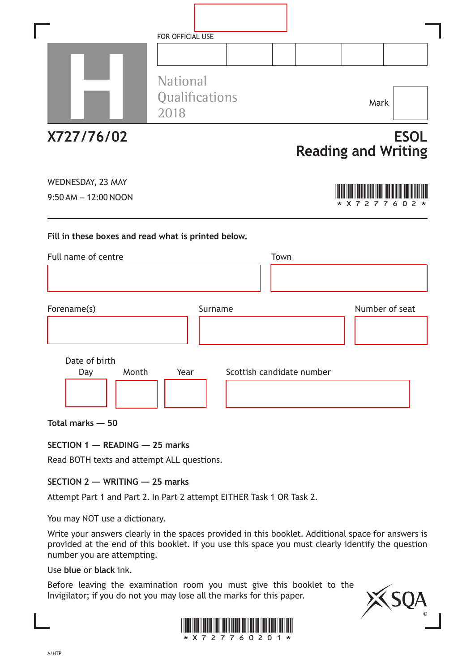|                                              | FOR OFFICIAL USE                                    |                                                         |
|----------------------------------------------|-----------------------------------------------------|---------------------------------------------------------|
|                                              |                                                     |                                                         |
|                                              | <b>National</b><br>Qualifications<br>2018           | Mark                                                    |
| X727/76/02                                   |                                                     | <b>ESOL</b><br><b>Reading and Writing</b>               |
|                                              |                                                     |                                                         |
|                                              |                                                     |                                                         |
| WEDNESDAY, 23 MAY<br>$9:50$ AM $-12:00$ NOON | Fill in these boxes and read what is printed below. | <u> Alia Alia Alia Alia Alia Ali</u><br>* X 7 2 7 7 6 0 |
| Full name of centre                          | Town                                                |                                                         |
|                                              |                                                     | $2 *$                                                   |
| Forename(s)                                  | Surname                                             | Number of seat                                          |
| Date of birth<br>Month<br>Day                | Scottish candidate number<br>Year                   |                                                         |

Г

٦

**SECTION 1 — READING — 25 marks** 

Read BOTH texts and attempt ALL questions.

**SECTION 2 — WRITING — 25 marks** 

Attempt Part 1 and Part 2. In Part 2 attempt EITHER Task 1 OR Task 2.

You may NOT use a dictionary.

Write your answers clearly in the spaces provided in this booklet. Additional space for answers is provided at the end of this booklet. If you use this space you must clearly identify the question number you are attempting.

Use **blue** or **black** ink.

Before leaving the examination room you must give this booklet to the Invigilator; if you do not you may lose all the marks for this paper.



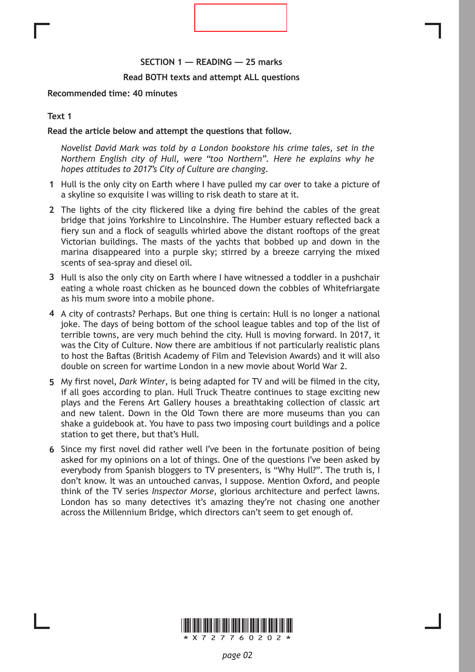# **SECTION 1 — READING — 25 marks Read BOTH texts and attempt ALL questions**

#### **Recommended time: 40 minutes**

#### **Text 1**

#### **Read the article below and attempt the questions that follow.**

*Novelist David Mark was told by a London bookstore his crime tales, set in the Northern English city of Hull, were "too Northern". Here he explains why he hopes attitudes to 2017's City of Culture are changing.*

- Hull is the only city on Earth where I have pulled my car over to take a picture of **1** a skyline so exquisite I was willing to risk death to stare at it.
- The lights of the city flickered like a dying fire behind the cables of the great **2** bridge that joins Yorkshire to Lincolnshire. The Humber estuary reflected back a fiery sun and a flock of seagulls whirled above the distant rooftops of the great Victorian buildings. The masts of the yachts that bobbed up and down in the marina disappeared into a purple sky; stirred by a breeze carrying the mixed scents of sea-spray and diesel oil.
- Hull is also the only city on Earth where I have witnessed a toddler in a pushchair **3** eating a whole roast chicken as he bounced down the cobbles of Whitefriargate as his mum swore into a mobile phone.
- A city of contrasts? Perhaps. But one thing is certain: Hull is no longer a national **4** joke. The days of being bottom of the school league tables and top of the list of terrible towns, are very much behind the city. Hull is moving forward. In 2017, it was the City of Culture. Now there are ambitious if not particularly realistic plans to host the Baftas (British Academy of Film and Television Awards) and it will also double on screen for wartime London in a new movie about World War 2.
- My first novel, *Dark Winter*, is being adapted for TV and will be filmed in the city, **5** if all goes according to plan. Hull Truck Theatre continues to stage exciting new plays and the Ferens Art Gallery houses a breathtaking collection of classic art and new talent. Down in the Old Town there are more museums than you can shake a guidebook at. You have to pass two imposing court buildings and a police station to get there, but that's Hull.
- **6** Since my first novel did rather well I've been in the fortunate position of being asked for my opinions on a lot of things. One of the questions I've been asked by everybody from Spanish bloggers to TV presenters, is "Why Hull?". The truth is, I don't know. It was an untouched canvas, I suppose. Mention Oxford, and people think of the TV series *Inspector Morse*, glorious architecture and perfect lawns. London has so many detectives it's amazing they're not chasing one another across the Millennium Bridge, which directors can't seem to get enough of.

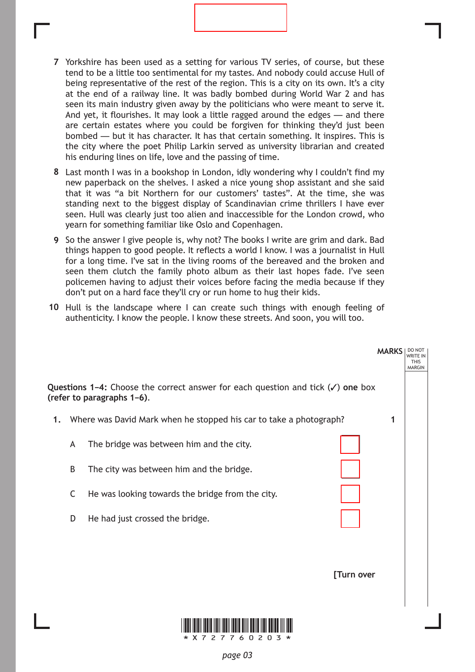- Yorkshire has been used as a setting for various TV series, of course, but these **7** tend to be a little too sentimental for my tastes. And nobody could accuse Hull of being representative of the rest of the region. This is a city on its own. It's a city at the end of a railway line. It was badly bombed during World War 2 and has seen its main industry given away by the politicians who were meant to serve it. And yet, it flourishes. It may look a little ragged around the edges — and there are certain estates where you could be forgiven for thinking they'd just been bombed — but it has character. It has that certain something. It inspires. This is the city where the poet Philip Larkin served as university librarian and created his enduring lines on life, love and the passing of time.
- Last month I was in a bookshop in London, idly wondering why I couldn't find my **8** new paperback on the shelves. I asked a nice young shop assistant and she said that it was "a bit Northern for our customers' tastes". At the time, she was standing next to the biggest display of Scandinavian crime thrillers I have ever seen. Hull was clearly just too alien and inaccessible for the London crowd, who yearn for something familiar like Oslo and Copenhagen.
- So the answer I give people is, why not? The books I write are grim and dark. Bad **9** things happen to good people. It reflects a world I know. I was a journalist in Hull for a long time. I've sat in the living rooms of the bereaved and the broken and seen them clutch the family photo album as their last hopes fade. I've seen policemen having to adjust their voices before facing the media because if they don't put on a hard face they'll cry or run home to hug their kids.
- 10 Hull is the landscape where I can create such things with enough feeling of authenticity. I know the people. I know these streets. And soon, you will too.

|    |   |                                                                                                                          | <b>MARKS</b> | THIS<br><b>MARGIN</b> |
|----|---|--------------------------------------------------------------------------------------------------------------------------|--------------|-----------------------|
|    |   | Questions 1-4: Choose the correct answer for each question and tick $(\checkmark)$ one box<br>(refer to paragraphs 1-6). |              |                       |
| 1. |   | Where was David Mark when he stopped his car to take a photograph?                                                       | 1            |                       |
|    | A | The bridge was between him and the city.                                                                                 |              |                       |
|    | B | The city was between him and the bridge.                                                                                 |              |                       |
|    | C | He was looking towards the bridge from the city.                                                                         |              |                       |
|    | D | He had just crossed the bridge.                                                                                          |              |                       |
|    |   |                                                                                                                          |              |                       |
|    |   | [Turn over                                                                                                               |              |                       |
|    |   |                                                                                                                          |              |                       |

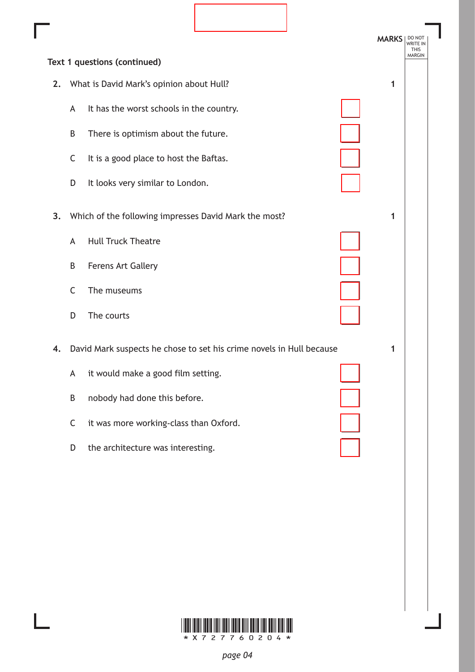|    |                              |                                                                      | <b>MARKS</b><br>DO NOT<br><b>WRITE IN</b><br><b>THIS</b><br><b>MARGIN</b> |  |  |  |  |
|----|------------------------------|----------------------------------------------------------------------|---------------------------------------------------------------------------|--|--|--|--|
|    | Text 1 questions (continued) |                                                                      |                                                                           |  |  |  |  |
| 2. |                              | What is David Mark's opinion about Hull?                             | 1                                                                         |  |  |  |  |
|    | A                            | It has the worst schools in the country.                             |                                                                           |  |  |  |  |
|    | B                            | There is optimism about the future.                                  |                                                                           |  |  |  |  |
|    | C                            | It is a good place to host the Baftas.                               |                                                                           |  |  |  |  |
|    | D                            | It looks very similar to London.                                     |                                                                           |  |  |  |  |
| 3. |                              | Which of the following impresses David Mark the most?                | 1                                                                         |  |  |  |  |
|    | $\overline{A}$               | <b>Hull Truck Theatre</b>                                            |                                                                           |  |  |  |  |
|    | B                            | <b>Ferens Art Gallery</b>                                            |                                                                           |  |  |  |  |
|    | $\mathsf{C}$                 | The museums                                                          |                                                                           |  |  |  |  |
|    | D                            | The courts                                                           |                                                                           |  |  |  |  |
| 4. |                              | David Mark suspects he chose to set his crime novels in Hull because | 1                                                                         |  |  |  |  |
|    | A                            | it would make a good film setting.                                   |                                                                           |  |  |  |  |
|    | B                            | nobody had done this before.                                         |                                                                           |  |  |  |  |
|    | $\mathsf{C}$                 | it was more working-class than Oxford.                               |                                                                           |  |  |  |  |
|    | D                            | the architecture was interesting.                                    |                                                                           |  |  |  |  |



L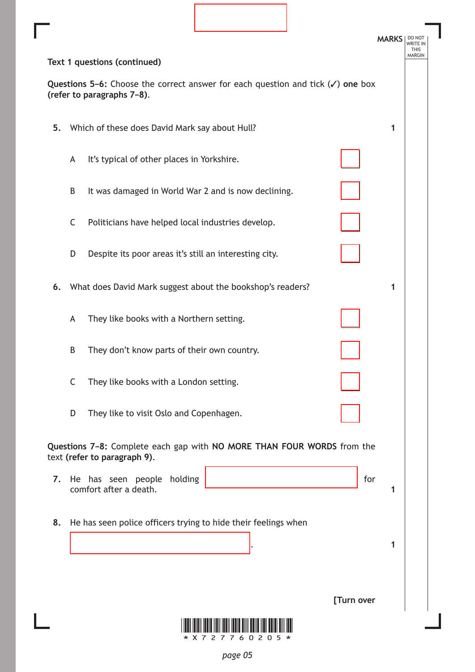|    |              |                                                                                                                            |       |            | DO NOT                                                          |  |
|----|--------------|----------------------------------------------------------------------------------------------------------------------------|-------|------------|-----------------------------------------------------------------|--|
|    |              |                                                                                                                            |       |            | <b>MARKS</b><br><b>WRITE IN</b><br><b>THIS</b><br><b>MARGIN</b> |  |
|    |              | Text 1 questions (continued)<br>Questions 5-6: Choose the correct answer for each question and tick $(\checkmark)$ one box |       |            |                                                                 |  |
|    |              | (refer to paragraphs 7-8).                                                                                                 |       |            |                                                                 |  |
| 5. |              | Which of these does David Mark say about Hull?                                                                             |       |            | 1                                                               |  |
|    | A            | It's typical of other places in Yorkshire.                                                                                 |       |            |                                                                 |  |
|    | B            | It was damaged in World War 2 and is now declining.                                                                        |       |            |                                                                 |  |
|    | $\mathsf{C}$ | Politicians have helped local industries develop.                                                                          |       |            |                                                                 |  |
|    | D            | Despite its poor areas it's still an interesting city.                                                                     |       |            |                                                                 |  |
| 6. |              | What does David Mark suggest about the bookshop's readers?                                                                 |       |            | 1                                                               |  |
|    | A            | They like books with a Northern setting.                                                                                   |       |            |                                                                 |  |
|    | B            | They don't know parts of their own country.                                                                                |       |            |                                                                 |  |
|    | C            | They like books with a London setting.                                                                                     |       |            |                                                                 |  |
|    | D            | They like to visit Oslo and Copenhagen.                                                                                    |       |            |                                                                 |  |
|    |              | Questions 7-8: Complete each gap with NO MORE THAN FOUR WORDS from the<br>text (refer to paragraph 9).                     |       |            |                                                                 |  |
| 7. |              | He has seen people<br>holding<br>comfort after a death.                                                                    |       | for        | 1                                                               |  |
| 8. |              | He has seen police officers trying to hide their feelings when                                                             |       |            |                                                                 |  |
|    |              |                                                                                                                            |       |            | 1                                                               |  |
|    |              |                                                                                                                            |       | [Turn over |                                                                 |  |
|    |              |                                                                                                                            | 77602 |            |                                                                 |  |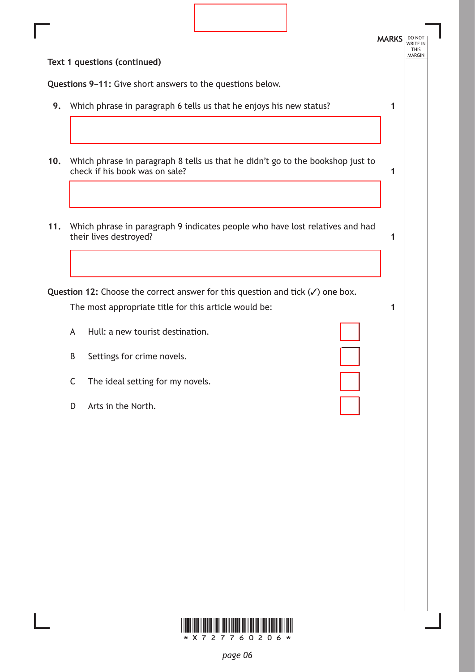

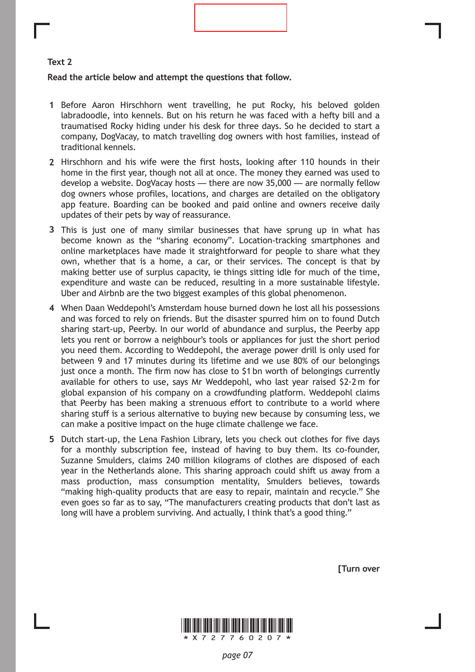

### **Text 2**

### **Read the article below and attempt the questions that follow.**

- 1 Before Aaron Hirschhorn went travelling, he put Rocky, his beloved golden labradoodle, into kennels. But on his return he was faced with a hefty bill and a traumatised Rocky hiding under his desk for three days. So he decided to start a company, DogVacay, to match travelling dog owners with host families, instead of traditional kennels.
- Hirschhorn and his wife were the first hosts, looking after 110 hounds in their **2** home in the first year, though not all at once. The money they earned was used to develop a website. DogVacay hosts — there are now 35,000 — are normally fellow dog owners whose profiles, locations, and charges are detailed on the obligatory app feature. Boarding can be booked and paid online and owners receive daily updates of their pets by way of reassurance.
- This is just one of many similar businesses that have sprung up in what has **3** become known as the "sharing economy". Location-tracking smartphones and online marketplaces have made it straightforward for people to share what they own, whether that is a home, a car, or their services. The concept is that by making better use of surplus capacity, ie things sitting idle for much of the time, expenditure and waste can be reduced, resulting in a more sustainable lifestyle. Uber and Airbnb are the two biggest examples of this global phenomenon.
- When Daan Weddepohl's Amsterdam house burned down he lost all his possessions **4** and was forced to rely on friends. But the disaster spurred him on to found Dutch sharing start-up, Peerby. In our world of abundance and surplus, the Peerby app lets you rent or borrow a neighbour's tools or appliances for just the short period you need them. According to Weddepohl, the average power drill is only used for between 9 and 17 minutes during its lifetime and we use 80% of our belongings just once a month. The firm now has close to \$1 bn worth of belongings currently available for others to use, says Mr Weddepohl, who last year raised \$2·2 m for global expansion of his company on a crowdfunding platform. Weddepohl claims that Peerby has been making a strenuous effort to contribute to a world where sharing stuff is a serious alternative to buying new because by consuming less, we can make a positive impact on the huge climate challenge we face.
- 5 Dutch start-up, the Lena Fashion Library, lets you check out clothes for five days for a monthly subscription fee, instead of having to buy them. Its co-founder, Suzanne Smulders, claims 240 million kilograms of clothes are disposed of each year in the Netherlands alone. This sharing approach could shift us away from a mass production, mass consumption mentality, Smulders believes, towards "making high-quality products that are easy to repair, maintain and recycle." She even goes so far as to say, "The manufacturers creating products that don't last as long will have a problem surviving. And actually, I think that's a good thing."

**[Turn over**

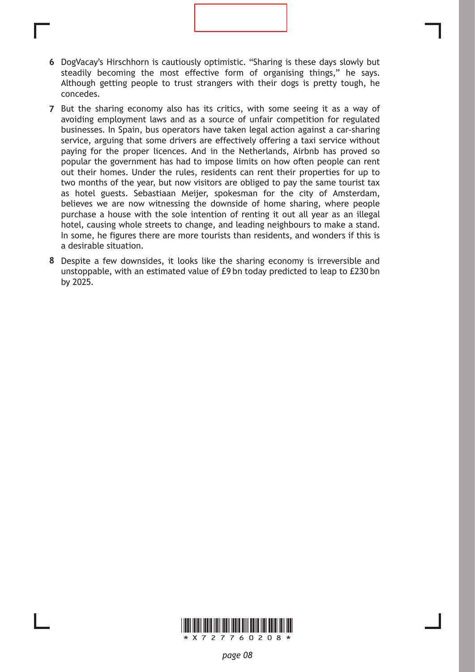- DogVacay's Hirschhorn is cautiously optimistic. "Sharing is these days slowly but **6** steadily becoming the most effective form of organising things," he says. Although getting people to trust strangers with their dogs is pretty tough, he concedes.
- But the sharing economy also has its critics, with some seeing it as a way of **7** avoiding employment laws and as a source of unfair competition for regulated businesses. In Spain, bus operators have taken legal action against a car-sharing service, arguing that some drivers are effectively offering a taxi service without paying for the proper licences. And in the Netherlands, Airbnb has proved so popular the government has had to impose limits on how often people can rent out their homes. Under the rules, residents can rent their properties for up to two months of the year, but now visitors are obliged to pay the same tourist tax as hotel guests. Sebastiaan Meijer, spokesman for the city of Amsterdam, believes we are now witnessing the downside of home sharing, where people purchase a house with the sole intention of renting it out all year as an illegal hotel, causing whole streets to change, and leading neighbours to make a stand. In some, he figures there are more tourists than residents, and wonders if this is a desirable situation.
- Despite a few downsides, it looks like the sharing economy is irreversible and **8**unstoppable, with an estimated value of £9 bn today predicted to leap to £230 bn by 2025.

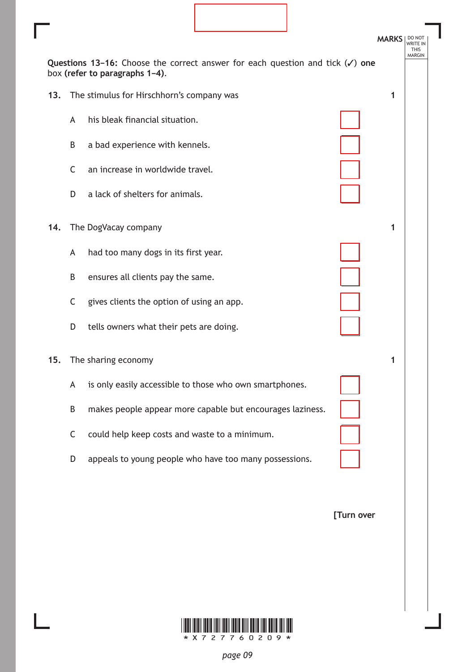| <b>MARKS</b> | DO NOT<br><b>THIS</b>                                                                                  |
|--------------|--------------------------------------------------------------------------------------------------------|
|              | <b>MARGIN</b>                                                                                          |
| 1            |                                                                                                        |
|              |                                                                                                        |
|              |                                                                                                        |
|              |                                                                                                        |
|              |                                                                                                        |
| 1            |                                                                                                        |
|              |                                                                                                        |
|              |                                                                                                        |
|              |                                                                                                        |
|              |                                                                                                        |
| 1            |                                                                                                        |
|              |                                                                                                        |
|              |                                                                                                        |
|              |                                                                                                        |
|              |                                                                                                        |
|              |                                                                                                        |
|              |                                                                                                        |
|              |                                                                                                        |
|              |                                                                                                        |
|              |                                                                                                        |
|              |                                                                                                        |
|              | Questions 13-16: Choose the correct answer for each question and tick $(\checkmark)$ one<br>[Turn over |

 $\overline{\phantom{a}}$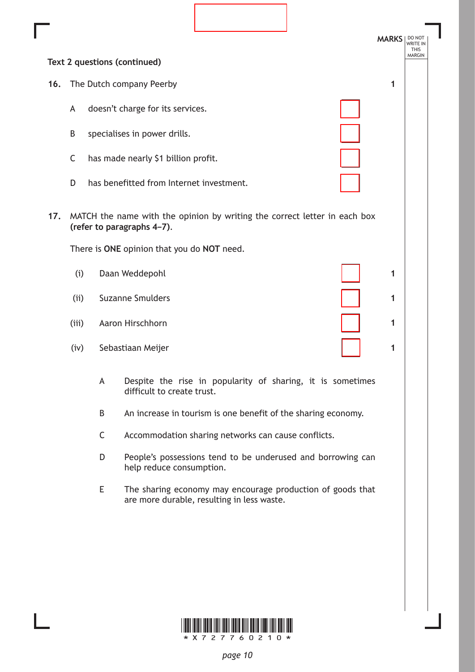|     |              |   |                                            |                                                                                                          |  |              | DO NOT                                          |
|-----|--------------|---|--------------------------------------------|----------------------------------------------------------------------------------------------------------|--|--------------|-------------------------------------------------|
|     |              |   |                                            |                                                                                                          |  | <b>MARKS</b> | <b>WRITE IN</b><br><b>THIS</b><br><b>MARGIN</b> |
|     |              |   | Text 2 questions (continued)               |                                                                                                          |  | 1            |                                                 |
| 16. |              |   | The Dutch company Peerby                   |                                                                                                          |  |              |                                                 |
|     | A            |   | doesn't charge for its services.           |                                                                                                          |  |              |                                                 |
|     | B            |   | specialises in power drills.               |                                                                                                          |  |              |                                                 |
|     | $\mathsf{C}$ |   | has made nearly \$1 billion profit.        |                                                                                                          |  |              |                                                 |
|     | D            |   | has benefitted from Internet investment.   |                                                                                                          |  |              |                                                 |
| 17. |              |   | (refer to paragraphs 4-7).                 | MATCH the name with the opinion by writing the correct letter in each box                                |  |              |                                                 |
|     |              |   | There is ONE opinion that you do NOT need. |                                                                                                          |  |              |                                                 |
|     | (i)          |   | Daan Weddepohl                             |                                                                                                          |  | 1            |                                                 |
|     | (i)          |   | <b>Suzanne Smulders</b>                    |                                                                                                          |  | 1            |                                                 |
|     | (iii)        |   | Aaron Hirschhorn                           |                                                                                                          |  | 1            |                                                 |
|     | (iv)         |   | Sebastiaan Meijer                          |                                                                                                          |  | 1            |                                                 |
|     |              | A | difficult to create trust.                 | Despite the rise in popularity of sharing, it is sometimes                                               |  |              |                                                 |
|     |              | B |                                            | An increase in tourism is one benefit of the sharing economy.                                            |  |              |                                                 |
|     |              | C |                                            | Accommodation sharing networks can cause conflicts.                                                      |  |              |                                                 |
|     |              | D | help reduce consumption.                   | People's possessions tend to be underused and borrowing can                                              |  |              |                                                 |
|     |              | Ε |                                            | The sharing economy may encourage production of goods that<br>are more durable, resulting in less waste. |  |              |                                                 |
|     |              |   |                                            |                                                                                                          |  |              |                                                 |
|     |              |   |                                            |                                                                                                          |  |              |                                                 |
|     |              |   |                                            |                                                                                                          |  |              |                                                 |
|     |              |   |                                            |                                                                                                          |  |              |                                                 |
|     |              |   |                                            |                                                                                                          |  |              |                                                 |

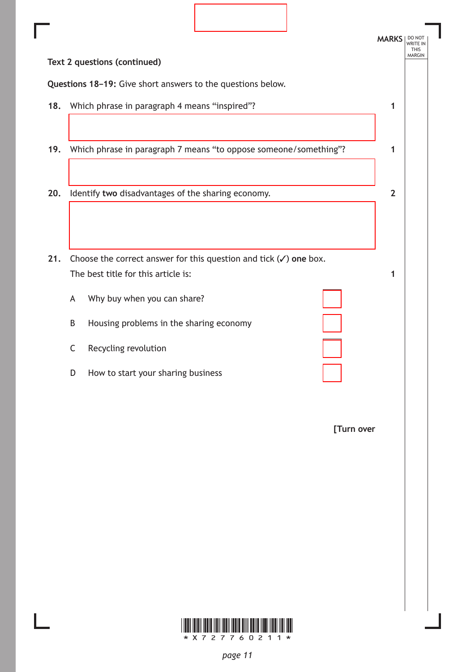|     |                                               |                                                                                           |  |            | <b>MARKS</b>   | DO NOT<br><b>WRITE IN</b><br><b>THIS</b> |
|-----|-----------------------------------------------|-------------------------------------------------------------------------------------------|--|------------|----------------|------------------------------------------|
|     |                                               | <b>Text 2 questions (continued)</b>                                                       |  |            |                | <b>MARGIN</b>                            |
|     |                                               | Questions 18-19: Give short answers to the questions below.                               |  |            |                |                                          |
| 18. | Which phrase in paragraph 4 means "inspired"? |                                                                                           |  |            |                |                                          |
|     |                                               |                                                                                           |  |            |                |                                          |
| 19. |                                               | Which phrase in paragraph 7 means "to oppose someone/something"?                          |  |            | 1              |                                          |
|     |                                               |                                                                                           |  |            |                |                                          |
| 20. |                                               | Identify two disadvantages of the sharing economy.                                        |  |            | $\overline{2}$ |                                          |
|     |                                               |                                                                                           |  |            |                |                                          |
|     |                                               |                                                                                           |  |            |                |                                          |
| 21. |                                               | Choose the correct answer for this question and tick $(\checkmark)$ one box.              |  |            |                |                                          |
|     |                                               | The best title for this article is:                                                       |  |            | 1              |                                          |
|     | A                                             |                                                                                           |  |            |                |                                          |
|     |                                               | Why buy when you can share?                                                               |  |            |                |                                          |
|     | B                                             | Housing problems in the sharing economy                                                   |  |            |                |                                          |
|     | $\mathsf C$                                   | Recycling revolution                                                                      |  |            |                |                                          |
|     | D                                             | How to start your sharing business                                                        |  |            |                |                                          |
|     |                                               |                                                                                           |  |            |                |                                          |
|     |                                               |                                                                                           |  | [Turn over |                |                                          |
|     |                                               |                                                                                           |  |            |                |                                          |
|     |                                               |                                                                                           |  |            |                |                                          |
|     |                                               |                                                                                           |  |            |                |                                          |
|     |                                               |                                                                                           |  |            |                |                                          |
|     |                                               |                                                                                           |  |            |                |                                          |
|     |                                               |                                                                                           |  |            |                |                                          |
|     |                                               |                                                                                           |  |            |                |                                          |
|     |                                               |                                                                                           |  |            |                |                                          |
|     |                                               |                                                                                           |  |            |                |                                          |
|     |                                               |                                                                                           |  |            |                |                                          |
|     |                                               | <u> 1999 - Johann Barbara, martin bashkar bashkar ma'lumot</u><br>* X 7 2 7 7 6 0 2 1 1 * |  |            |                |                                          |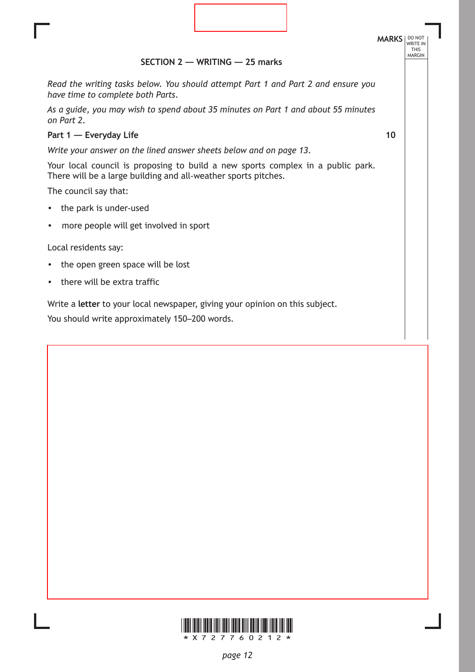

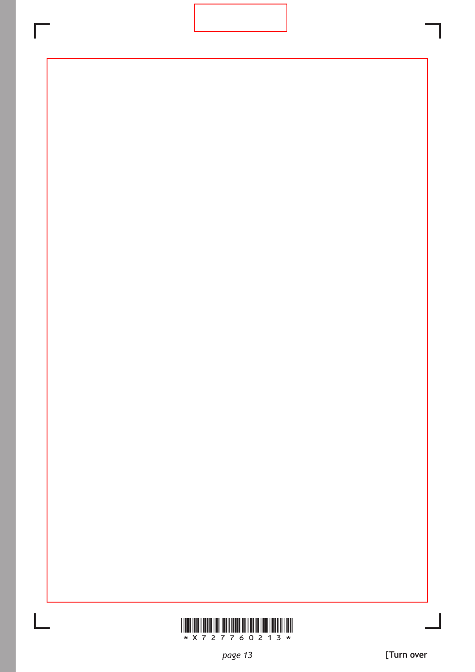|              |  | <u> I TERTI TETETI TERTE TIETI TERTI TERTE BITTI BETTE TERT TIETE TITTI TERT</u> |  |  |
|--------------|--|----------------------------------------------------------------------------------|--|--|
|              |  |                                                                                  |  |  |
|              |  |                                                                                  |  |  |
|              |  |                                                                                  |  |  |
|              |  |                                                                                  |  |  |
|              |  |                                                                                  |  |  |
|              |  |                                                                                  |  |  |
|              |  |                                                                                  |  |  |
|              |  |                                                                                  |  |  |
|              |  |                                                                                  |  |  |
|              |  |                                                                                  |  |  |
|              |  |                                                                                  |  |  |
|              |  |                                                                                  |  |  |
|              |  |                                                                                  |  |  |
|              |  |                                                                                  |  |  |
|              |  |                                                                                  |  |  |
|              |  |                                                                                  |  |  |
|              |  |                                                                                  |  |  |
|              |  |                                                                                  |  |  |
|              |  |                                                                                  |  |  |
|              |  |                                                                                  |  |  |
|              |  |                                                                                  |  |  |
|              |  |                                                                                  |  |  |
|              |  |                                                                                  |  |  |
|              |  |                                                                                  |  |  |
| $\mathbf{C}$ |  |                                                                                  |  |  |
|              |  |                                                                                  |  |  |

\*X727760213\*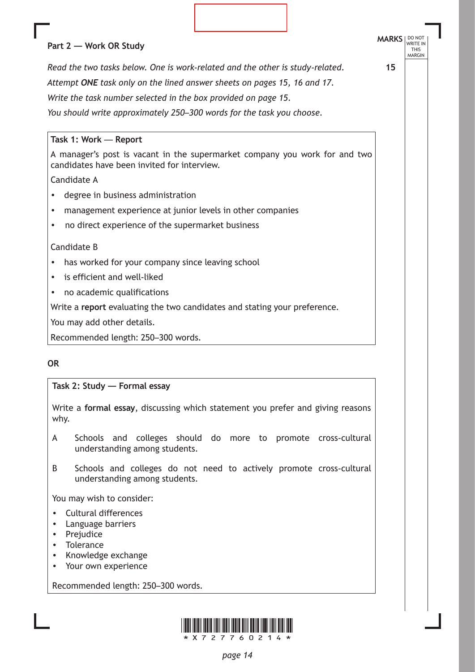

## **OR**

#### **Task 2: Study — Formal essay**

Write a **formal essay**, discussing which statement you prefer and giving reasons why.

- A Schools and colleges should do more to promote cross-cultural understanding among students.
- B Schools and colleges do not need to actively promote cross-cultural understanding among students.

You may wish to consider:

- Cultural differences
- Language barriers
- **Prejudice**
- **Tolerance**
- Knowledge exchange
- Your own experience

Recommended length: 250–300 words.

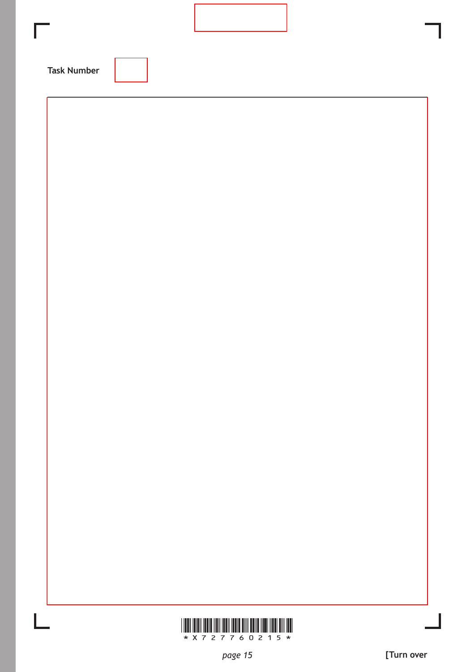| <b>Task Number</b> |                           |  |
|--------------------|---------------------------|--|
|                    |                           |  |
|                    |                           |  |
|                    |                           |  |
|                    |                           |  |
|                    |                           |  |
|                    |                           |  |
|                    |                           |  |
|                    |                           |  |
|                    |                           |  |
|                    |                           |  |
|                    |                           |  |
|                    |                           |  |
|                    | $* x 7 2 7 7 6 0 2 1 5 *$ |  |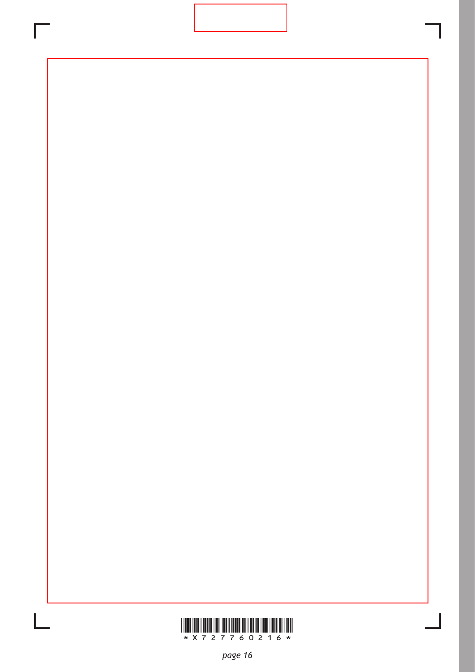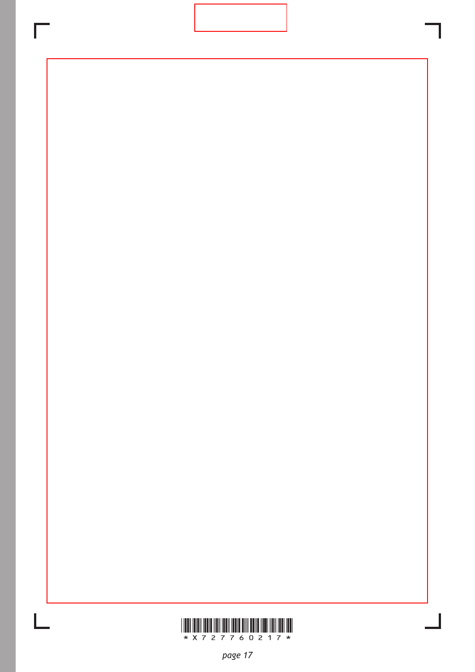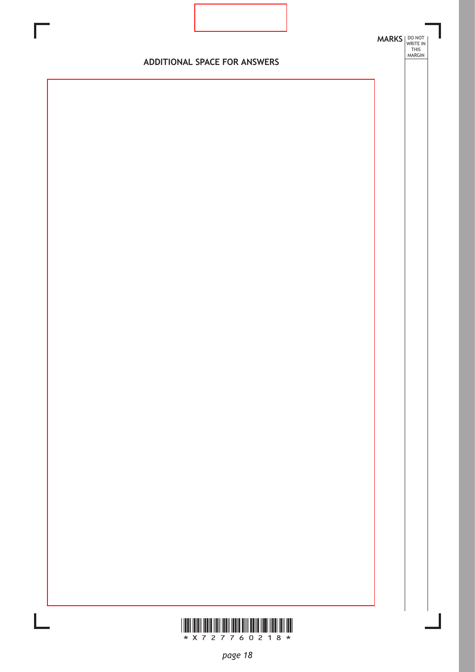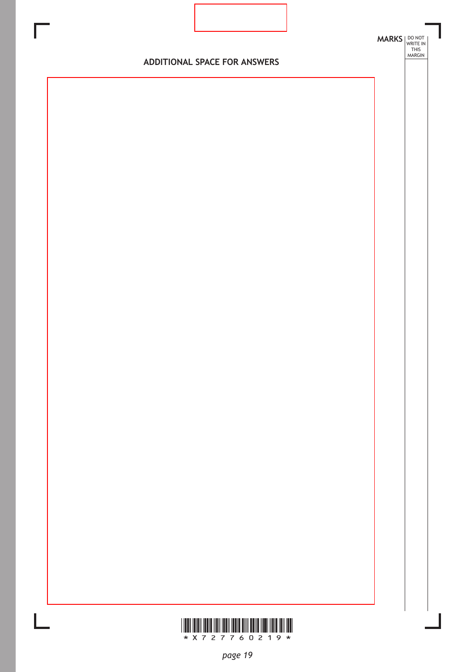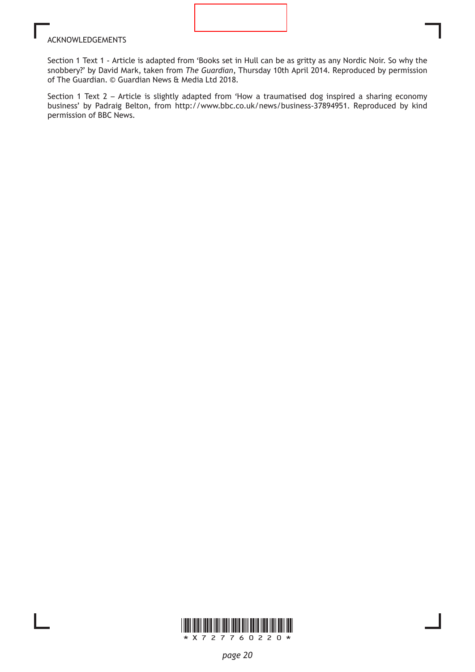

### ACKNOWLEDGEMENTS

Section 1 Text 1 - Article is adapted from 'Books set in Hull can be as gritty as any Nordic Noir. So why the snobbery?' by David Mark, taken from *The Guardian*, Thursday 10th April 2014. Reproduced by permission of The Guardian. © Guardian News & Media Ltd 2018.

Section 1 Text 2 – Article is slightly adapted from 'How a traumatised dog inspired a sharing economy business' by Padraig Belton, from http://www.bbc.co.uk/news/business-37894951. Reproduced by kind permission of BBC News.

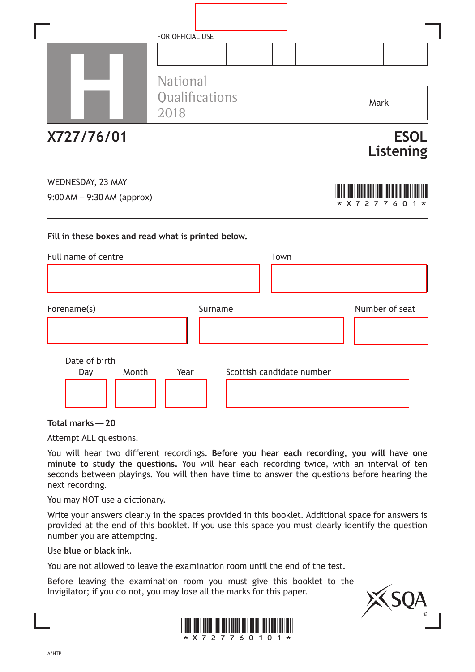|                                                                            | FOR OFFICIAL USE                   |         |                           |      |      |                          |
|----------------------------------------------------------------------------|------------------------------------|---------|---------------------------|------|------|--------------------------|
|                                                                            |                                    |         |                           |      |      |                          |
|                                                                            | National<br>Qualifications<br>2018 |         |                           |      | Mark |                          |
| X727/76/01                                                                 |                                    |         |                           |      |      | <b>ESOL</b><br>Listening |
| WEDNESDAY, 23 MAY                                                          |                                    |         |                           |      |      |                          |
| $9:00$ AM $- 9:30$ AM (approx)                                             |                                    |         |                           |      | 2    | 7<br>6<br><sup>0</sup>   |
| Fill in these boxes and read what is printed below.<br>Full name of centre |                                    |         |                           | Town |      |                          |
|                                                                            |                                    |         |                           |      |      |                          |
| Forename(s)                                                                |                                    | Surname |                           |      |      | Number of seat           |
|                                                                            |                                    |         |                           |      |      |                          |
| Date of birth                                                              |                                    |         |                           |      |      |                          |
| Month<br>Day                                                               | Year                               |         | Scottish candidate number |      |      |                          |
|                                                                            |                                    |         |                           |      |      |                          |

**Total marks— 20**

Attempt ALL questions.

You will hear two different recordings. **Before you hear each recording, you will have one minute to study the questions.** You will hear each recording twice, with an interval of ten seconds between playings. You will then have time to answer the questions before hearing the next recording.

You may NOT use a dictionary.

Write your answers clearly in the spaces provided in this booklet. Additional space for answers is provided at the end of this booklet. If you use this space you must clearly identify the question number you are attempting.

Use **blue** or **black** ink.

You are not allowed to leave the examination room until the end of the test.

Before leaving the examination room you must give this booklet to the Invigilator; if you do not, you may lose all the marks for this paper.



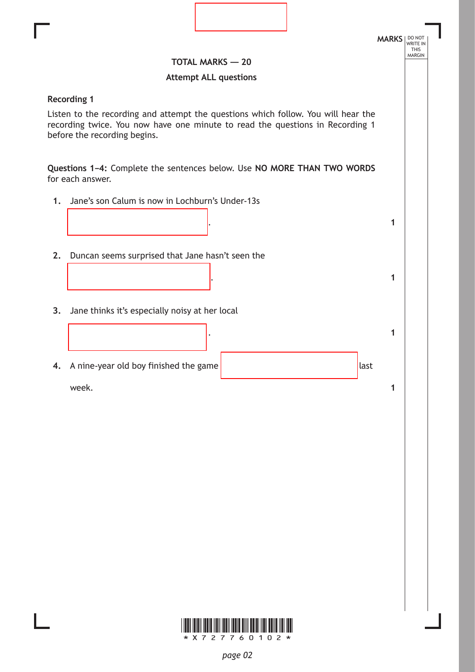

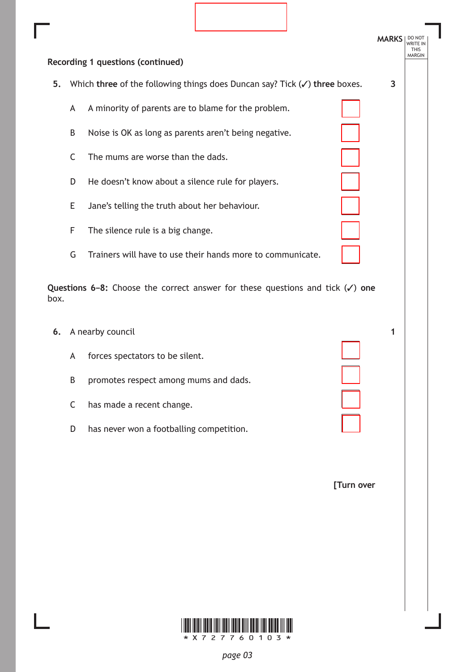

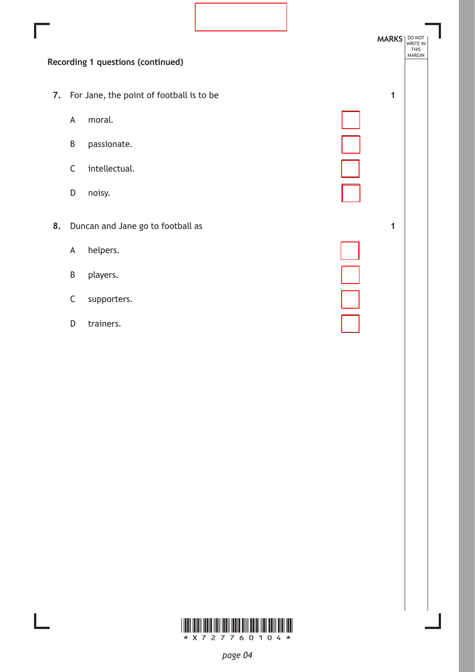|    |              |                                             |  | DO NOT<br><b>MARKS</b>                          |
|----|--------------|---------------------------------------------|--|-------------------------------------------------|
|    |              | Recording 1 questions (continued)           |  | <b>WRITE IN</b><br><b>THIS</b><br><b>MARGIN</b> |
|    |              | 7. For Jane, the point of football is to be |  | 1                                               |
|    | A            | moral.                                      |  |                                                 |
|    | B            | passionate.                                 |  |                                                 |
|    | $\mathsf{C}$ | intellectual.                               |  |                                                 |
|    | D            | noisy.                                      |  |                                                 |
| 8. |              | Duncan and Jane go to football as           |  | 1                                               |
|    | A            | helpers.                                    |  |                                                 |
|    | B            | players.                                    |  |                                                 |
|    | $\mathsf C$  | supporters.                                 |  |                                                 |
|    | D            | trainers.                                   |  |                                                 |



 $\mathbf{L}$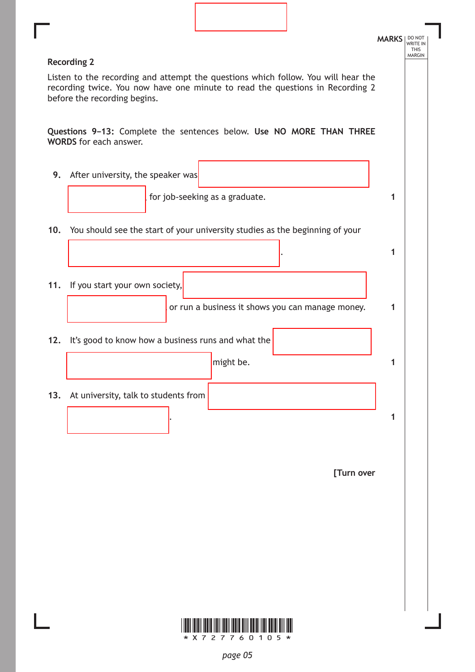|     |                                                                                                                                                                                                    |                                |                                                  | <b>MARKS</b>   DO NOT | <b>WRITE IN</b>              |
|-----|----------------------------------------------------------------------------------------------------------------------------------------------------------------------------------------------------|--------------------------------|--------------------------------------------------|-----------------------|------------------------------|
|     | <b>Recording 2</b>                                                                                                                                                                                 |                                |                                                  |                       | <b>THIS</b><br><b>MARGIN</b> |
|     | Listen to the recording and attempt the questions which follow. You will hear the<br>recording twice. You now have one minute to read the questions in Recording 2<br>before the recording begins. |                                |                                                  |                       |                              |
|     | Questions 9-13: Complete the sentences below. Use NO MORE THAN THREE<br><b>WORDS</b> for each answer.                                                                                              |                                |                                                  |                       |                              |
| 9.  | After university, the speaker was                                                                                                                                                                  |                                |                                                  |                       |                              |
|     |                                                                                                                                                                                                    | for job-seeking as a graduate. |                                                  | 1                     |                              |
|     | 10. You should see the start of your university studies as the beginning of your                                                                                                                   |                                |                                                  |                       |                              |
|     |                                                                                                                                                                                                    |                                |                                                  | 1                     |                              |
| 11. | If you start your own society,                                                                                                                                                                     |                                |                                                  |                       |                              |
|     |                                                                                                                                                                                                    |                                | or run a business it shows you can manage money. | 1                     |                              |
| 12. | It's good to know how a business runs and what the                                                                                                                                                 |                                |                                                  |                       |                              |
|     |                                                                                                                                                                                                    | might be.                      |                                                  | 1                     |                              |
| 13. | At university, talk to students from                                                                                                                                                               |                                |                                                  |                       |                              |
|     |                                                                                                                                                                                                    |                                |                                                  | 1                     |                              |
|     |                                                                                                                                                                                                    |                                |                                                  |                       |                              |
|     |                                                                                                                                                                                                    |                                | [Turn over                                       |                       |                              |
|     |                                                                                                                                                                                                    |                                |                                                  |                       |                              |
|     |                                                                                                                                                                                                    |                                |                                                  |                       |                              |
|     |                                                                                                                                                                                                    |                                |                                                  |                       |                              |
|     |                                                                                                                                                                                                    |                                |                                                  |                       |                              |
|     |                                                                                                                                                                                                    |                                |                                                  |                       |                              |
|     |                                                                                                                                                                                                    | * X 7 2 7 7 6 0 1 0 5 *        |                                                  |                       |                              |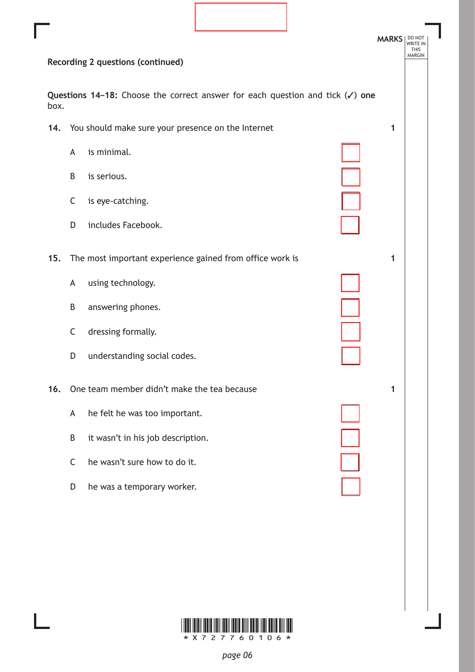|      |                |                                                                                          | <b>MARKS</b>   DO NOT                           |
|------|----------------|------------------------------------------------------------------------------------------|-------------------------------------------------|
|      |                | Recording 2 questions (continued)                                                        | <b>WRITE IN</b><br><b>THIS</b><br><b>MARGIN</b> |
| box. |                | Questions 14-18: Choose the correct answer for each question and tick $(\checkmark)$ one |                                                 |
|      |                | 14. You should make sure your presence on the Internet                                   | 1                                               |
|      | $\overline{A}$ | is minimal.                                                                              |                                                 |
|      | B              | is serious.                                                                              |                                                 |
|      | $\mathsf{C}$   | is eye-catching.                                                                         |                                                 |
|      | D              | includes Facebook.                                                                       |                                                 |
| 15.  |                | The most important experience gained from office work is                                 | 1                                               |
|      | A              | using technology.                                                                        |                                                 |
|      | B              | answering phones.                                                                        |                                                 |
|      | C              | dressing formally.                                                                       |                                                 |
|      | D              | understanding social codes.                                                              |                                                 |
| 16.  |                | One team member didn't make the tea because                                              | 1                                               |
|      | A              | he felt he was too important.                                                            |                                                 |
|      | B              | it wasn't in his job description.                                                        |                                                 |
|      | $\mathsf{C}$   | he wasn't sure how to do it.                                                             |                                                 |
|      | D              | he was a temporary worker.                                                               |                                                 |



H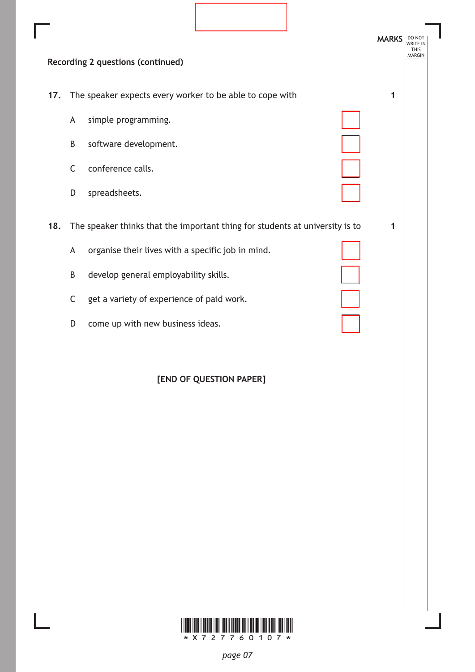|     |              |                                                                              | <b>MARKS</b><br>DO NOT<br>WRITE IN |
|-----|--------------|------------------------------------------------------------------------------|------------------------------------|
|     |              | Recording 2 questions (continued)                                            | <b>THIS</b><br><b>MARGIN</b>       |
| 17. |              | The speaker expects every worker to be able to cope with                     | 1                                  |
|     | A            | simple programming.                                                          |                                    |
|     | B            | software development.                                                        |                                    |
|     | $\mathsf{C}$ | conference calls.                                                            |                                    |
|     | D            | spreadsheets.                                                                |                                    |
| 18. |              | The speaker thinks that the important thing for students at university is to | 1                                  |
|     | A            | organise their lives with a specific job in mind.                            |                                    |
|     | B            | develop general employability skills.                                        |                                    |
|     | C            | get a variety of experience of paid work.                                    |                                    |
|     | D            | come up with new business ideas.                                             |                                    |
|     |              |                                                                              |                                    |
|     |              | [END OF QUESTION PAPER]                                                      |                                    |
|     |              |                                                                              |                                    |
|     |              |                                                                              |                                    |
|     |              |                                                                              |                                    |
|     |              |                                                                              |                                    |
|     |              |                                                                              |                                    |
|     |              |                                                                              |                                    |
|     |              |                                                                              |                                    |
|     |              |                                                                              |                                    |
|     |              | <u> III. Martin Amerikaanse konstantin (</u>                                 |                                    |
|     |              | * X 7 2 7 7 6 0<br>$\overline{7}$<br>0<br>$\star$<br>1                       |                                    |

I

I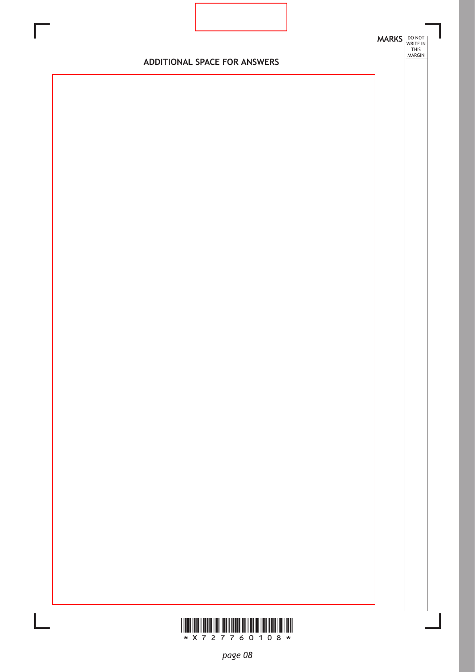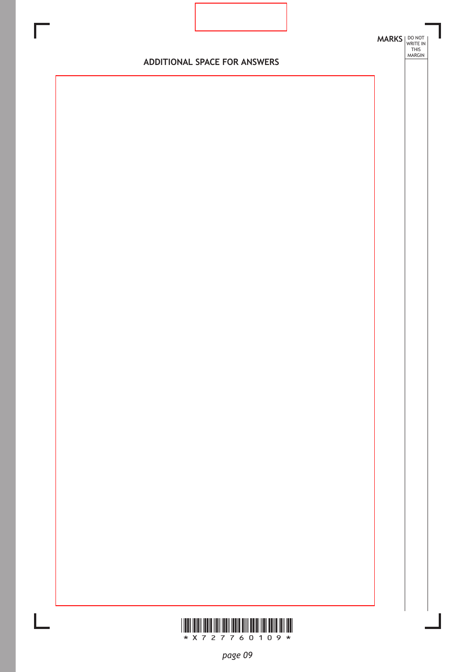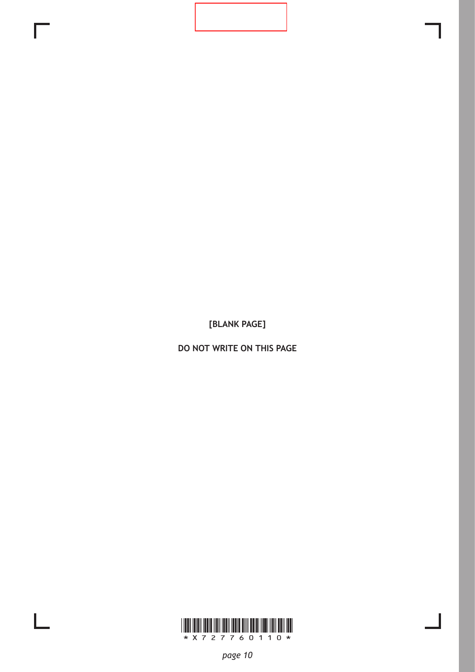**[BLANK PAGE]**

**DO NOT WRITE ON THIS PAGE**

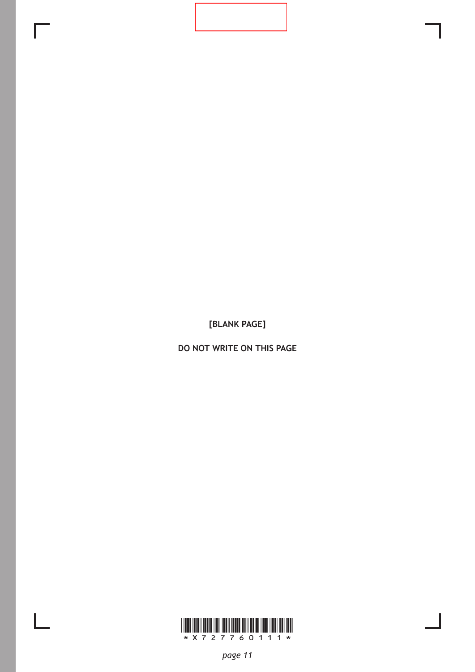**[BLANK PAGE]**

**DO NOT WRITE ON THIS PAGE**



П